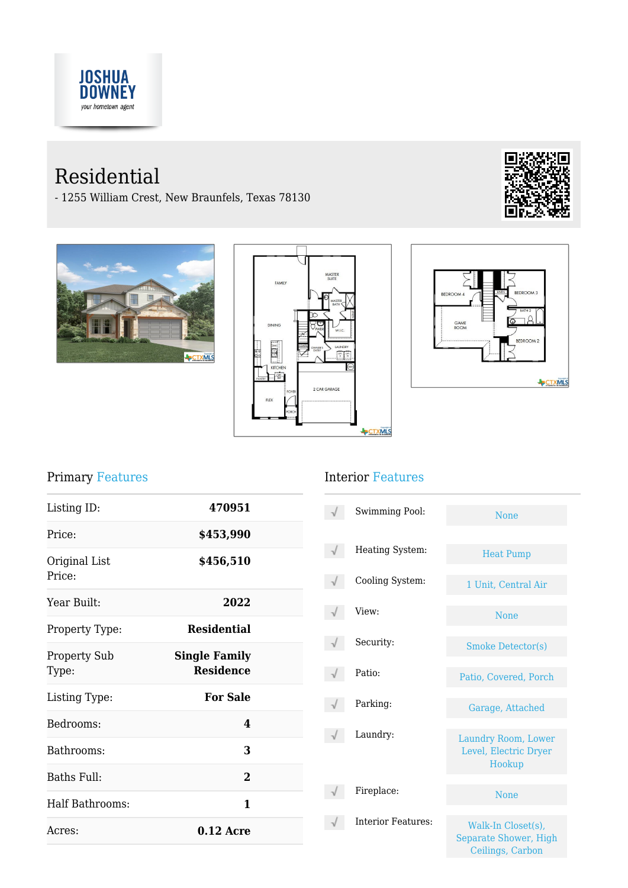

# Residential

- 1255 William Crest, New Braunfels, Texas 78130









# Primary Features

| Listing ID:                  | 470951                                   |  |
|------------------------------|------------------------------------------|--|
| Price:                       | \$453,990                                |  |
| Original List<br>Price:      | \$456,510                                |  |
| Year Built:                  | 2022                                     |  |
| Property Type:               | <b>Residential</b>                       |  |
| <b>Property Sub</b><br>Type: | <b>Single Family</b><br><b>Residence</b> |  |
| Listing Type:                | <b>For Sale</b>                          |  |
| Bedrooms:                    | 4                                        |  |
| Bathrooms:                   | 3                                        |  |
| Baths Full:                  | $\overline{2}$                           |  |
| Half Bathrooms:              | 1                                        |  |
| Acres:                       | $0.12$ Acre                              |  |

# Interior Features

| Swimming Pool:            | <b>None</b>                                                            |
|---------------------------|------------------------------------------------------------------------|
| Heating System:           | <b>Heat Pump</b>                                                       |
| Cooling System:           | 1 Unit, Central Air                                                    |
| View:                     | <b>None</b>                                                            |
| Security:                 | <b>Smoke Detector(s)</b>                                               |
| Patio:                    | Patio, Covered, Porch                                                  |
| Parking:                  | Garage, Attached                                                       |
| Laundry:                  | Laundry Room, Lower<br>Level, Electric Dryer<br>Hookup                 |
| Fireplace:                | <b>None</b>                                                            |
| <b>Interior Features:</b> | Walk-In Closet(s),<br><b>Separate Shower, High</b><br>Ceilings, Carbon |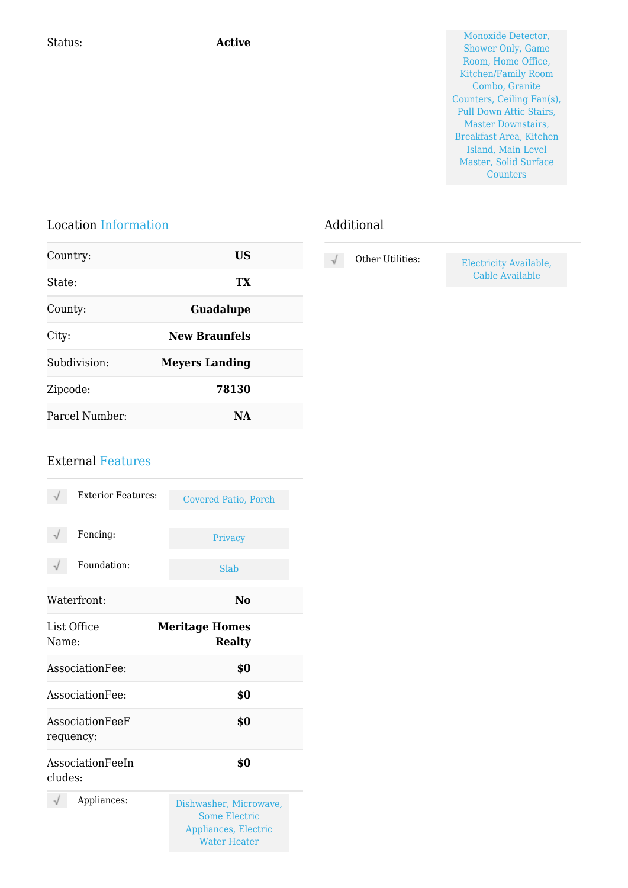Status: **Active Active** Monoxide Detector, **Active** Monoxide Detector, **Active** Monoxide Detector, **Active** Monoxide Detector, **Active** Monoxide Detector, **Active** Monoxide Detector, **Active** Monoxide Detector, **Active** Mo Shower Only, Game Room, Home Office, Kitchen/Family Room Combo, Granite Counters, Ceiling Fan(s), Pull Down Attic Stairs, Master Downstairs, Breakfast Area, Kitchen Island, Main Level Master, Solid Surface **Counters** 

#### Location Information

| Country:       | US                    |  |
|----------------|-----------------------|--|
| State:         | TX                    |  |
| County:        | <b>Guadalupe</b>      |  |
| City:          | <b>New Braunfels</b>  |  |
| Subdivision:   | <b>Meyers Landing</b> |  |
| Zipcode:       | 78130                 |  |
| Parcel Number: | NА                    |  |

# Additional

| Other Utilities: |  |
|------------------|--|
|                  |  |

Electricity Available, Cable Available

### External Features

| <b>Exterior Features:</b>    | <b>Covered Patio, Porch</b>                                                                   |
|------------------------------|-----------------------------------------------------------------------------------------------|
| Fencing:                     | Privacy                                                                                       |
| Foundation:                  | Slab                                                                                          |
| Waterfront:                  | No                                                                                            |
| List Office<br>Name:         | <b>Meritage Homes</b><br><b>Realty</b>                                                        |
| Association Fee:             | \$0                                                                                           |
| Association Fee:             | \$0                                                                                           |
| AssociationFeeF<br>requency: | \$0                                                                                           |
| AssociationFeeIn<br>cludes:  | \$0                                                                                           |
| Appliances:                  | Dishwasher, Microwave,<br><b>Some Electric</b><br>Appliances, Electric<br><b>Water Heater</b> |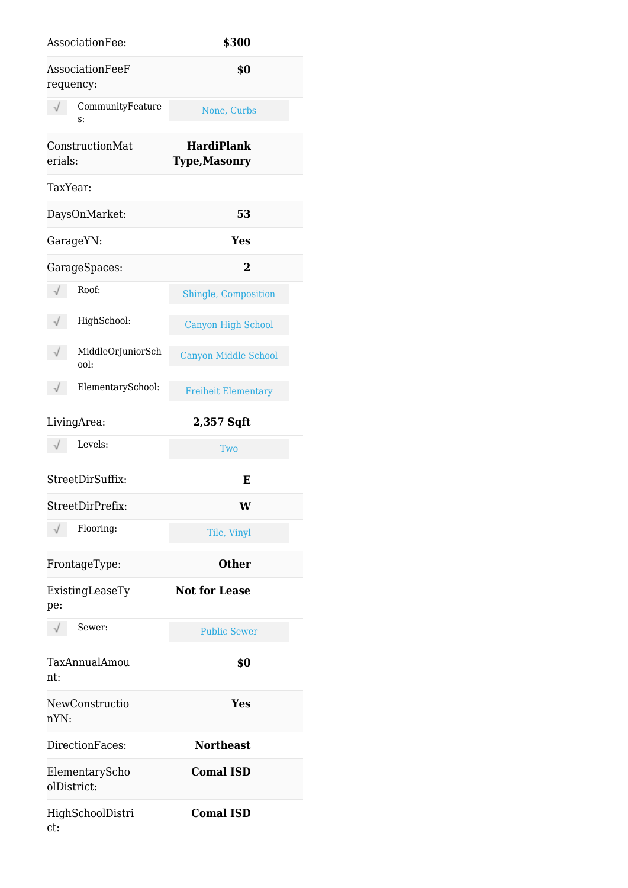| AssociationFee:                | \$300                                     |
|--------------------------------|-------------------------------------------|
| AssociationFeeF<br>requency:   | \$0                                       |
| CommunityFeature<br>s:         | None, Curbs                               |
| ConstructionMat<br>erials:     | <b>HardiPlank</b><br><b>Type, Masonry</b> |
| TaxYear:                       |                                           |
| DaysOnMarket:                  | 53                                        |
| GarageYN:                      | <b>Yes</b>                                |
| GarageSpaces:                  | 2                                         |
| Roof:                          | Shingle, Composition                      |
| HighSchool:                    | <b>Canyon High School</b>                 |
| MiddleOrJuniorSch<br>√<br>ool: | <b>Canyon Middle School</b>               |
| $\sqrt{}$<br>ElementarySchool: | <b>Freiheit Elementary</b>                |
| LivingArea:                    | 2,357 Sqft                                |
|                                |                                           |
| Levels:<br>$\sqrt{}$           | Two                                       |
| StreetDirSuffix:               | E                                         |
| StreetDirPrefix:               | W                                         |
| √<br>Flooring:                 | Tile, Vinyl                               |
| FrontageType:                  | <b>Other</b>                              |
| ExistingLeaseTy<br>pe:         | <b>Not for Lease</b>                      |
| $\sqrt{\phantom{a}}$ Sewer:    | <b>Public Sewer</b>                       |
| TaxAnnualAmou<br>nt:           | \$0                                       |
| NewConstructio<br>nYN:         | <b>Yes</b>                                |
| DirectionFaces:                | <b>Northeast</b>                          |
| ElementaryScho<br>olDistrict:  | <b>Comal ISD</b>                          |